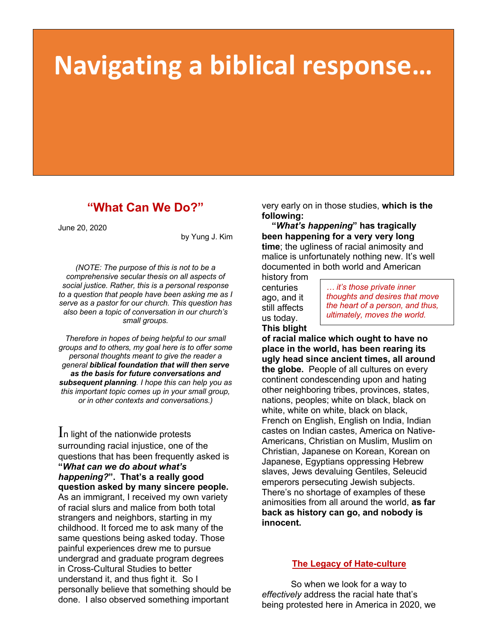# **Navigating a biblical response…**

## **"What Can We Do?"**

June 20, 2020

by Yung J. Kim

*(NOTE: The purpose of this is not to be a comprehensive secular thesis on all aspects of social justice. Rather, this is a personal response to a question that people have been asking me as I serve as a pastor for our church. This question has also been a topic of conversation in our church's small groups.*

*Therefore in hopes of being helpful to our small groups and to others, my goal here is to offer some personal thoughts meant to give the reader a general biblical foundation that will then serve as the basis for future conversations and subsequent planning. I hope this can help you as this important topic comes up in your small group, or in other contexts and conversations.)*

In light of the nationwide protests surrounding racial injustice, one of the questions that has been frequently asked is **"***What can we do about what's happening?***". That's a really good question asked by many sincere people.**  As an immigrant, I received my own variety of racial slurs and malice from both total strangers and neighbors, starting in my childhood. It forced me to ask many of the same questions being asked today. Those painful experiences drew me to pursue undergrad and graduate program degrees in Cross-Cultural Studies to better understand it, and thus fight it. So I personally believe that something should be done. I also observed something important

very early on in those studies, **which is the following:**

 **"***What's happening***" has tragically been happening for a very very long time**; the ugliness of racial animosity and malice is unfortunately nothing new. It's well documented in both world and American

history from centuries ago, and it still affects us today. **This blight** 

*… it's those private inner thoughts and desires that move the heart of a person, and thus, ultimately, moves the world.*

**of racial malice which ought to have no place in the world, has been rearing its ugly head since ancient times, all around the globe.** People of all cultures on every continent condescending upon and hating other neighboring tribes, provinces, states, nations, peoples; white on black, black on white, white on white, black on black, French on English, English on India, Indian castes on Indian castes, America on Native-Americans, Christian on Muslim, Muslim on Christian, Japanese on Korean, Korean on Japanese, Egyptians oppressing Hebrew slaves, Jews devaluing Gentiles, Seleucid emperors persecuting Jewish subjects. There's no shortage of examples of these animosities from all around the world, **as far back as history can go, and nobody is innocent.**

### **The Legacy of Hate-culture**

So when we look for a way to *effectively* address the racial hate that's being protested here in America in 2020, we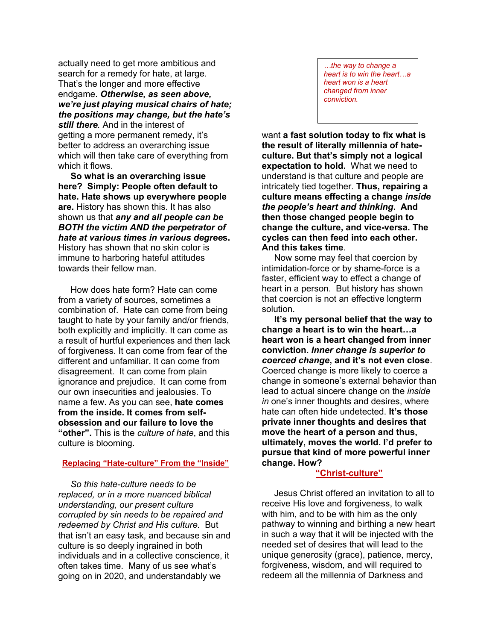actually need to get more ambitious and search for a remedy for hate, at large. That's the longer and more effective endgame. *Otherwise, as seen above, we're just playing musical chairs of hate; the positions may change, but the hate's still there.* And in the interest of getting a more permanent remedy, it's better to address an overarching issue which will then take care of everything from which it flows.

 **So what is an overarching issue here? Simply: People often default to hate. Hate shows up everywhere people are.** History has shown this. It has also shown us that *any and all people can be BOTH the victim AND the perpetrator of hate at various times in various degree***s.** History has shown that no skin color is immune to harboring hateful attitudes towards their fellow man.

 How does hate form? Hate can come from a variety of sources, sometimes a combination of. Hate can come from being taught to hate by your family and/or friends, both explicitly and implicitly. It can come as a result of hurtful experiences and then lack of forgiveness. It can come from fear of the different and unfamiliar. It can come from disagreement. It can come from plain ignorance and prejudice. It can come from our own insecurities and jealousies. To name a few. As you can see, **hate comes from the inside. It comes from selfobsession and our failure to love the "other".** This is the *culture of hate*, and this culture is blooming.

#### **Replacing "Hate-culture" From the "Inside"**

 *So this hate-culture needs to be replaced, or in a more nuanced biblical understanding, our present culture corrupted by sin needs to be repaired and redeemed by Christ and His culture.* But that isn't an easy task, and because sin and culture is so deeply ingrained in both individuals and in a collective conscience, it often takes time. Many of us see what's going on in 2020, and understandably we

*…the way to change a heart is to win the heart…a heart won is a heart changed from inner conviction.*

want **a fast solution today to fix what is the result of literally millennia of hateculture. But that's simply not a logical expectation to hold.** What we need to understand is that culture and people are intricately tied together. **Thus, repairing a culture means effecting a change** *inside the people's heart and thinking***. And then those changed people begin to change the culture, and vice-versa. The cycles can then feed into each other. And this takes time**.

 Now some may feel that coercion by intimidation-force or by shame-force is a faster, efficient way to effect a change of heart in a person. But history has shown that coercion is not an effective longterm solution.

 **It's my personal belief that the way to change a heart is to win the heart…a heart won is a heart changed from inner conviction.** *Inner change is superior to coerced change***, and it's not even close**. Coerced change is more likely to coerce a change in someone's external behavior than lead to actual sincere change on the *inside in* one's inner thoughts and desires, where hate can often hide undetected. **It's those private inner thoughts and desires that move the heart of a person and thus, ultimately, moves the world. I'd prefer to pursue that kind of more powerful inner change. How?**

#### **"Christ-culture"**

 Jesus Christ offered an invitation to all to receive His love and forgiveness, to walk with him, and to be with him as the only pathway to winning and birthing a new heart in such a way that it will be injected with the needed set of desires that will lead to the unique generosity (grace), patience, mercy, forgiveness, wisdom, and will required to redeem all the millennia of Darkness and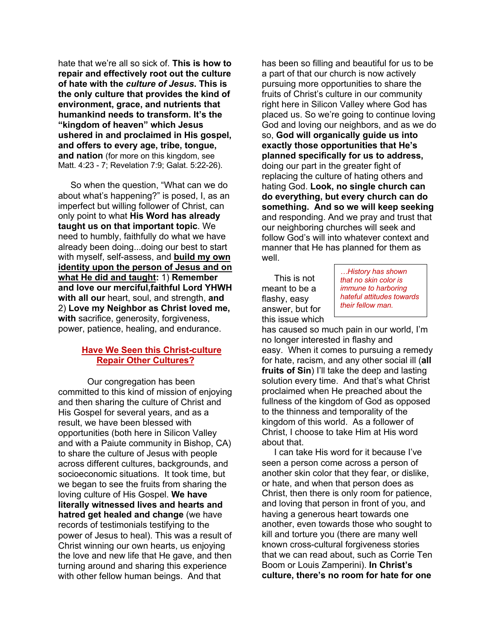hate that we're all so sick of. **This is how to repair and effectively root out the culture of hate with the** *culture of Jesus***. This is the only culture that provides the kind of environment, grace, and nutrients that humankind needs to transform. It's the "kingdom of heaven" which Jesus ushered in and proclaimed in His gospel, and offers to every age, tribe, tongue, and nation** (for more on this kingdom, see Matt. 4:23 - 7; Revelation 7:9; Galat. 5:22-26).

 So when the question, "What can we do about what's happening?" is posed, I, as an imperfect but willing follower of Christ, can only point to what **His Word has already taught us on that important topic**. We need to humbly, faithfully do what we have already been doing...doing our best to start with myself, self-assess, and **build my own identity upon the person of Jesus and on what He did and taught:** 1) **Remember and love our merciful,faithful Lord YHWH with all our** heart, soul, and strength, **and**  2) **Love my Neighbor as Christ loved me, with** sacrifice, generosity, forgiveness, power, patience, healing, and endurance.

#### **Have We Seen this Christ-culture Repair Other Cultures?**

Our congregation has been committed to this kind of mission of enjoying and then sharing the culture of Christ and His Gospel for several years, and as a result, we have been blessed with opportunities (both here in Silicon Valley and with a Paiute community in Bishop, CA) to share the culture of Jesus with people across different cultures, backgrounds, and socioeconomic situations. It took time, but we began to see the fruits from sharing the loving culture of His Gospel. **We have literally witnessed lives and hearts and hatred get healed and change** (we have records of testimonials testifying to the power of Jesus to heal). This was a result of Christ winning our own hearts, us enjoying the love and new life that He gave, and then turning around and sharing this experience with other fellow human beings. And that

has been so filling and beautiful for us to be a part of that our church is now actively pursuing more opportunities to share the fruits of Christ's culture in our community right here in Silicon Valley where God has placed us. So we're going to continue loving God and loving our neighbors, and as we do so, **God will organically guide us into exactly those opportunities that He's planned specifically for us to address,** doing our part in the greater fight of replacing the culture of hating others and hating God. **Look, no single church can do everything, but every church can do something. And so we will keep seeking**  and responding. And we pray and trust that our neighboring churches will seek and follow God's will into whatever context and manner that He has planned for them as well.

 This is not meant to be a flashy, easy answer, but for this issue which

*…History has shown that no skin color is immune to harboring hateful attitudes towards their fellow man.*

has caused so much pain in our world, I'm no longer interested in flashy and easy. When it comes to pursuing a remedy for hate, racism, and any other social ill (**all fruits of Sin**) I'll take the deep and lasting solution every time. And that's what Christ proclaimed when He preached about the fullness of the kingdom of God as opposed to the thinness and temporality of the kingdom of this world. As a follower of Christ, I choose to take Him at His word about that.

 I can take His word for it because I've seen a person come across a person of another skin color that they fear, or dislike, or hate, and when that person does as Christ, then there is only room for patience, and loving that person in front of you, and having a generous heart towards one another, even towards those who sought to kill and torture you (there are many well known cross-cultural forgiveness stories that we can read about, such as Corrie Ten Boom or Louis Zamperini). **In Christ's culture, there's no room for hate for one**